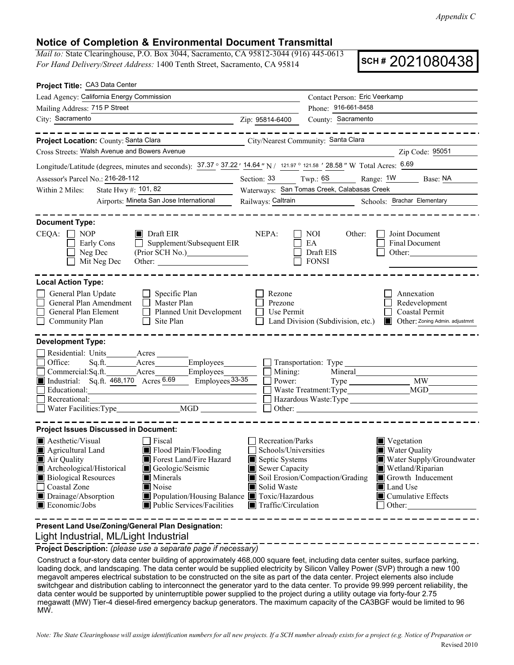*Appendix C*

## **Notice of Completion & Environmental Document Transmittal**

*Mail to:* State Clearinghouse, P.O. Box 3044, Sacramento, CA 95812-3044 (916) 445-0613 *For Hand Delivery/Street Address:* 1400 Tenth Street, Sacramento, CA 95814

**SCH #** 2021080438

|                                                                                                                                                                                                               | Contact Person: Eric Veerkamp                                                                                                                                                                      |  |
|---------------------------------------------------------------------------------------------------------------------------------------------------------------------------------------------------------------|----------------------------------------------------------------------------------------------------------------------------------------------------------------------------------------------------|--|
|                                                                                                                                                                                                               | Phone: 916-661-8458                                                                                                                                                                                |  |
| Zip: 95814-6400<br><u> 1989 - Johann Barbara, martxa al III-lea (h. 1989).</u>                                                                                                                                | County: Sacramento                                                                                                                                                                                 |  |
|                                                                                                                                                                                                               | City/Nearest Community: Santa Clara                                                                                                                                                                |  |
|                                                                                                                                                                                                               | Zip Code: 95051                                                                                                                                                                                    |  |
|                                                                                                                                                                                                               | Longitude/Latitude (degrees, minutes and seconds): 37.37 ° 37.22 ' 14.64 " N / 121.97 ° 121.58 ' 28.58 " W Total Acres: 6.69                                                                       |  |
| Section: 33                                                                                                                                                                                                   | $Twp: 6S$ Range: $\frac{1W}{1}$ Base: NA                                                                                                                                                           |  |
| Waterways: San Tomas Creek, Calabasas Creek                                                                                                                                                                   |                                                                                                                                                                                                    |  |
| Railways: Caltrain                                                                                                                                                                                            | Schools: Brachar Elementary                                                                                                                                                                        |  |
|                                                                                                                                                                                                               |                                                                                                                                                                                                    |  |
| NEPA:<br>Supplement/Subsequent EIR<br>(Prior SCH No.)<br>Other:                                                                                                                                               | NOI<br>Other:<br>Joint Document<br>EA<br><b>Final Document</b><br>Draft EIS<br>Other: 2008<br><b>FONSI</b>                                                                                         |  |
|                                                                                                                                                                                                               |                                                                                                                                                                                                    |  |
| Rezone<br>Prezone<br>Planned Unit Development<br>Use Permit                                                                                                                                                   | Annexation<br>Redevelopment<br><b>Coastal Permit</b><br>Land Division (Subdivision, etc.)<br>Other: Zoning Admin. adjustmnt<br>EН                                                                  |  |
|                                                                                                                                                                                                               |                                                                                                                                                                                                    |  |
| Sq.ft. Acres Employees<br>Mining:<br>$\frac{\text{Employes}}{33\cdot 35}$<br>Power:<br><u> 1989 - Johann Stein, mars an de France</u>                                                                         | Transportation: Type <b>Contains a Container and Container</b>                                                                                                                                     |  |
|                                                                                                                                                                                                               |                                                                                                                                                                                                    |  |
| Recreation/Parks<br>Schools/Universities<br>Septic Systems<br>Sewer Capacity<br>Solid Waste<br>Population/Housing Balance Toxic/Hazardous<br>Public Services/Facilities<br>$\blacksquare$ Traffic/Circulation | $\blacksquare$ Vegetation<br>■ Water Quality<br>Water Supply/Groundwater<br>Wetland/Riparian<br>Soil Erosion/Compaction/Grading<br>Growth Inducement<br>Land Use<br>■ Cumulative Effects<br>Other: |  |
|                                                                                                                                                                                                               |                                                                                                                                                                                                    |  |

Light Industrial, ML/Light Industrial

**Project Description:** *(please use a separate page if necessary)*

Construct a four-story data center building of approximately 468,000 square feet, including data center suites, surface parking, loading dock, and landscaping. The data center would be supplied electricity by Silicon Valley Power (SVP) through a new 100 megavolt amperes electrical substation to be constructed on the site as part of the data center. Project elements also include switchgear and distribution cabling to interconnect the generator yard to the data center. To provide 99.999 percent reliability, the data center would be supported by uninterruptible power supplied to the project during a utility outage via forty-four 2.75 megawatt (MW) Tier-4 diesel-fired emergency backup generators. The maximum capacity of the CA3BGF would be limited to 96 MW.

Revised 2010 *Note: The State Clearinghouse will assign identification numbers for all new projects. If a SCH number already exists for a project (e.g. Notice of Preparation or*